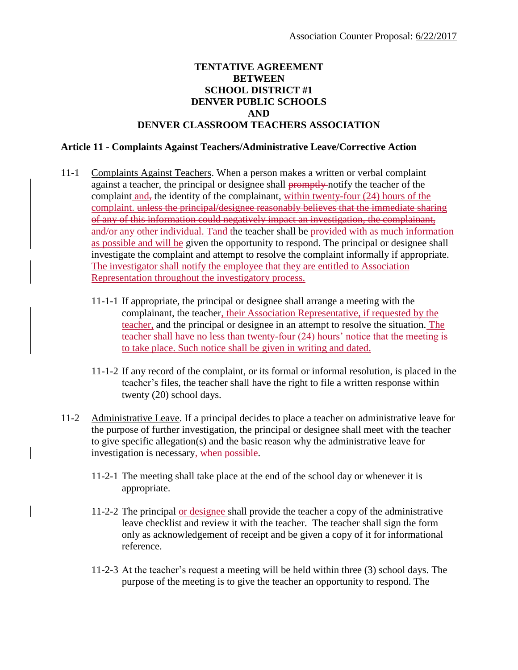## **TENTATIVE AGREEMENT BETWEEN SCHOOL DISTRICT #1 DENVER PUBLIC SCHOOLS AND DENVER CLASSROOM TEACHERS ASSOCIATION**

## **Article 11 - Complaints Against Teachers/Administrative Leave/Corrective Action**

- 11-1 Complaints Against Teachers. When a person makes a written or verbal complaint against a teacher, the principal or designee shall promptly notify the teacher of the complaint and, the identity of the complainant, within twenty-four (24) hours of the complaint, unless the principal/designee reasonably believes that the immediate sharing of any of this information could negatively impact an investigation, the complainant, and/or any other individual. Tand the teacher shall be provided with as much information as possible and will be given the opportunity to respond. The principal or designee shall investigate the complaint and attempt to resolve the complaint informally if appropriate. The investigator shall notify the employee that they are entitled to Association Representation throughout the investigatory process.
	- 11-1-1 If appropriate, the principal or designee shall arrange a meeting with the complainant, the teacher, their Association Representative, if requested by the teacher, and the principal or designee in an attempt to resolve the situation. The teacher shall have no less than twenty-four (24) hours' notice that the meeting is to take place. Such notice shall be given in writing and dated.
	- 11-1-2 If any record of the complaint, or its formal or informal resolution, is placed in the teacher's files, the teacher shall have the right to file a written response within twenty (20) school days.
- 11-2 Administrative Leave. If a principal decides to place a teacher on administrative leave for the purpose of further investigation, the principal or designee shall meet with the teacher to give specific allegation(s) and the basic reason why the administrative leave for investigation is necessary<del>, when possible</del>.
	- 11-2-1 The meeting shall take place at the end of the school day or whenever it is appropriate.
	- 11-2-2 The principal or designee shall provide the teacher a copy of the administrative leave checklist and review it with the teacher. The teacher shall sign the form only as acknowledgement of receipt and be given a copy of it for informational reference.
	- 11-2-3 At the teacher's request a meeting will be held within three (3) school days. The purpose of the meeting is to give the teacher an opportunity to respond. The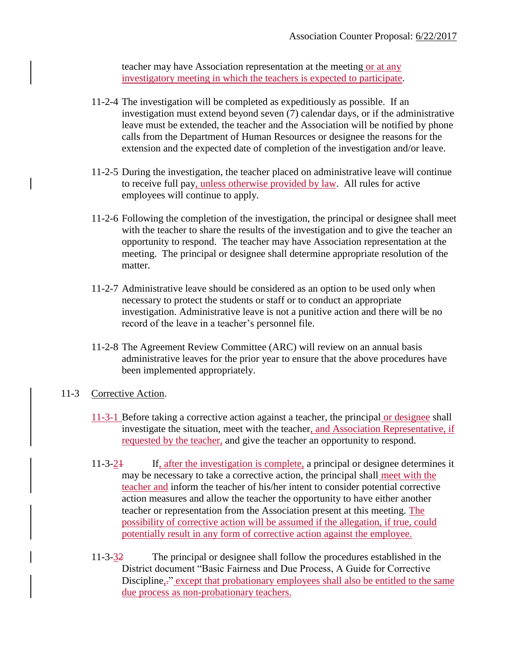teacher may have Association representation at the meeting or at any investigatory meeting in which the teachers is expected to participate.

- 11-2-4 The investigation will be completed as expeditiously as possible. If an investigation must extend beyond seven (7) calendar days, or if the administrative leave must be extended, the teacher and the Association will be notified by phone calls from the Department of Human Resources or designee the reasons for the extension and the expected date of completion of the investigation and/or leave.
- 11-2-5 During the investigation, the teacher placed on administrative leave will continue to receive full pay, unless otherwise provided by law. All rules for active employees will continue to apply.
- 11-2-6 Following the completion of the investigation, the principal or designee shall meet with the teacher to share the results of the investigation and to give the teacher an opportunity to respond. The teacher may have Association representation at the meeting. The principal or designee shall determine appropriate resolution of the matter.
- 11-2-7 Administrative leave should be considered as an option to be used only when necessary to protect the students or staff or to conduct an appropriate investigation. Administrative leave is not a punitive action and there will be no record of the leave in a teacher's personnel file.
- 11-2-8 The Agreement Review Committee (ARC) will review on an annual basis administrative leaves for the prior year to ensure that the above procedures have been implemented appropriately.

## 11-3 Corrective Action.

- 11-3-1 Before taking a corrective action against a teacher, the principal or designee shall investigate the situation, meet with the teacher, and Association Representative, if requested by the teacher, and give the teacher an opportunity to respond.
- 11-3-21 If, after the investigation is complete, a principal or designee determines it may be necessary to take a corrective action, the principal shall meet with the teacher and inform the teacher of his/her intent to consider potential corrective action measures and allow the teacher the opportunity to have either another teacher or representation from the Association present at this meeting. The possibility of corrective action will be assumed if the allegation, if true, could potentially result in any form of corrective action against the employee.
- 11-3-32 The principal or designee shall follow the procedures established in the District document "Basic Fairness and Due Process, A Guide for Corrective Discipline,." except that probationary employees shall also be entitled to the same due process as non-probationary teachers.